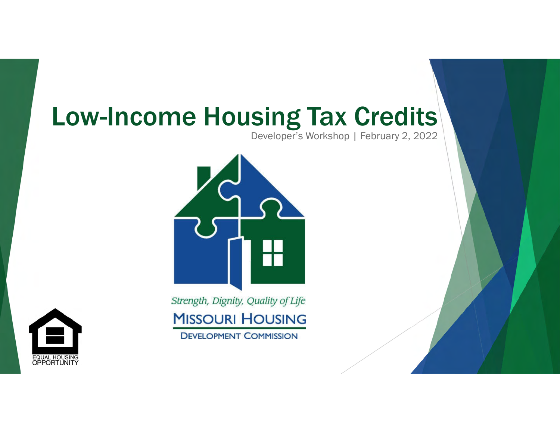# Low-Income Housing Tax Credits

Developer's Workshop | February 2, 2022



Strength, Dignity, Quality of Life **MISSOURI HOUSING DEVELOPMENT COMMISSION** 

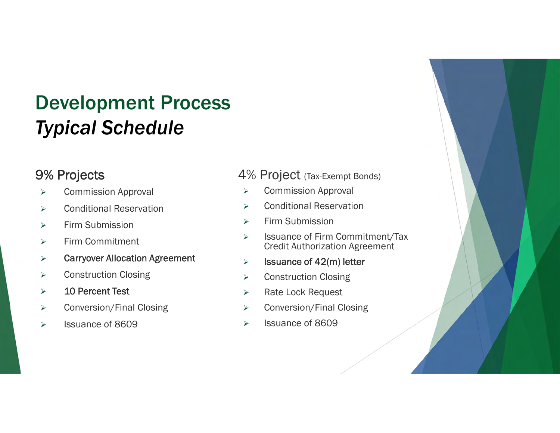## Development Process *Typical Schedule*

#### 9% Projects

- **▶ Commission Approval**
- **▶ Conditional Reservation**
- $\triangleright$  Firm Submission
- $\triangleright$  Firm Commitment
- Carryover Allocation Agreement
- **►** Construction Closing
- > 10 Percent Test
- **►** Conversion/Final Closing
- > Issuance of 8609

#### 4% Project (Tax-Exempt Bonds)

- Commission Approval
- **▶ Conditional Reservation**
- Firm Submission
- > Issuance of Firm Commitment/Tax Credit Authorization Agreement
- $\triangleright$  Issuance of 42(m) letter
- **▶ Construction Closing**
- > Rate Lock Request
- Conversion/Final Closing
- $\triangleright$  Issuance of 8609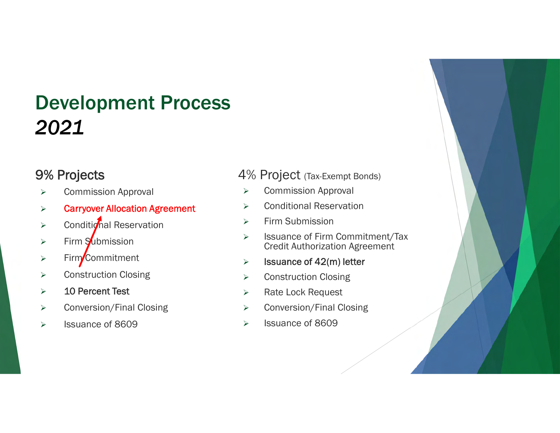## Development Process *2021*

#### 9% Projects

- Commission Approval
- Carryover Allocation Agreement
- $\triangleright$  Conditional Reservation
- $\triangleright$  Firm Submission
- $\triangleright$  Firm Commitment
- **►** Construction Closing
- $\geq$  10 Percent Test
- **►** Conversion/Final Closing
- > Issuance of 8609

#### 4% Project (Tax-Exempt Bonds)

- Commission Approval
- **▶ Conditional Reservation**
- $\triangleright$  Firm Submission
- > Issuance of Firm Commitment/Tax Credit Authorization Agreement
- $\geq$  Issuance of 42(m) letter
- Construction Closing
- > Rate Lock Request
- Conversion/Final Closing
- $\triangleright$  Issuance of 8609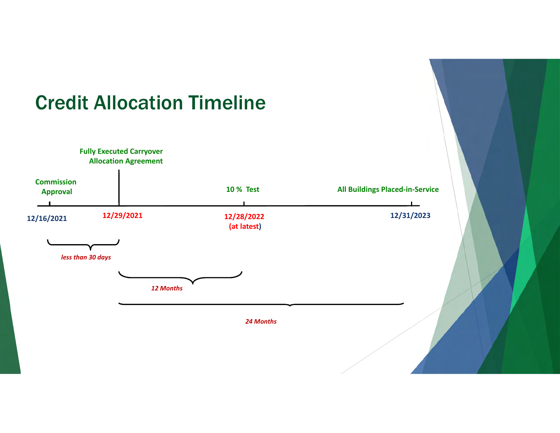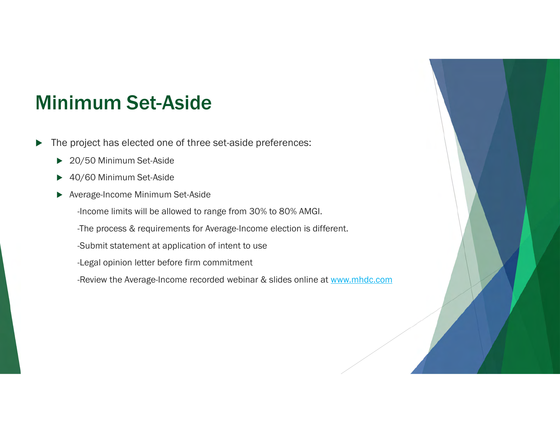### Minimum Set-Aside

- ▶ The project has elected one of three set-aside preferences:
	- ▶ 20/50 Minimum Set-Aside
	- ▶ 40/60 Minimum Set-Aside
	- Average-Income Minimum Set-Aside
		- -Income limits will be allowed to range from 30% to 80% AMGI.
		- -The process & requirements for Average-Income election is different.
		- -Submit statement at application of intent to use
		- -Legal opinion letter before firm commitment
		- -Review the Average-Income recorded webinar & slides online at www.mhdc.com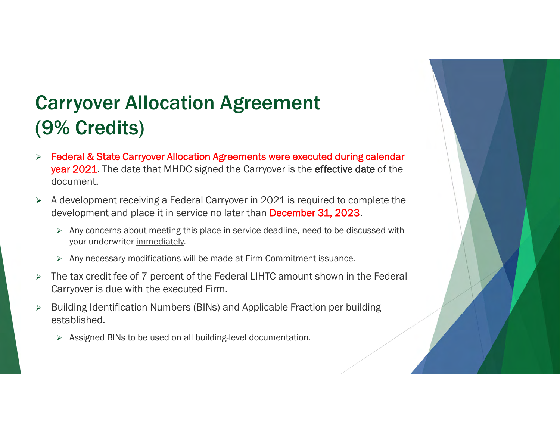## Carryover Allocation Agreement (9% Credits)

- Federal & State Carryover Allocation Agreements were executed during calendar year 2021. The date that MHDC signed the Carryover is the effective date of the document.
- A development receiving a Federal Carryover in 2021 is required to complete the development and place it in service no later than **December 31, 2023**.
	- $\triangleright$  Any concerns about meeting this place-in-service deadline, need to be discussed with your underwriter immediately.
	- $\triangleright$  Any necessary modifications will be made at Firm Commitment issuance.
- $\triangleright$  The tax credit fee of 7 percent of the Federal LIHTC amount shown in the Federal Carryover is due with the executed Firm.
- Building Identification Numbers (BINs) and Applicable Fraction per building established.
	- $\triangleright$  Assigned BINs to be used on all building-level documentation.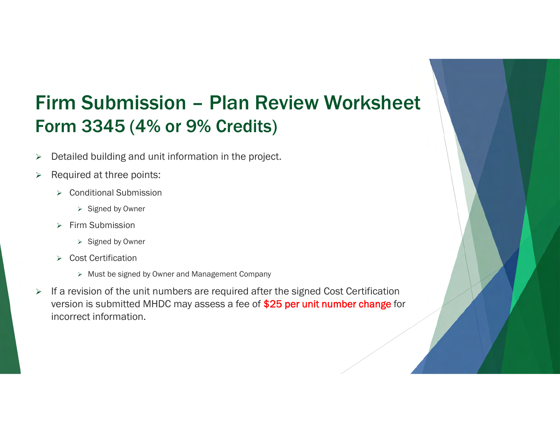## Firm Submission – Plan Review Worksheet Form 3345 (4% or 9% Credits)

- **>** Detailed building and unit information in the project.
- $\triangleright$  Required at three points:
	- **▶ Conditional Submission** 
		- $\triangleright$  Signed by Owner
	- $\triangleright$  Firm Submission
		- $\triangleright$  Signed by Owner
	- **▶ Cost Certification** 
		- $\triangleright$  Must be signed by Owner and Management Company
- $\triangleright$  If a revision of the unit numbers are required after the signed Cost Certification version is submitted MHDC may assess a fee of \$25 per unit number change for incorrect information.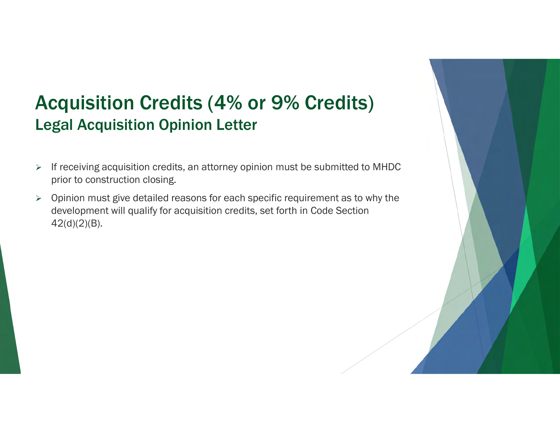### Acquisition Credits (4% or 9% Credits) Legal Acquisition Opinion Letter

- $\triangleright$  If receiving acquisition credits, an attorney opinion must be submitted to MHDC prior to construction closing.
- $\triangleright$  Opinion must give detailed reasons for each specific requirement as to why the development will qualify for acquisition credits, set forth in Code Section 42(d)(2)(B).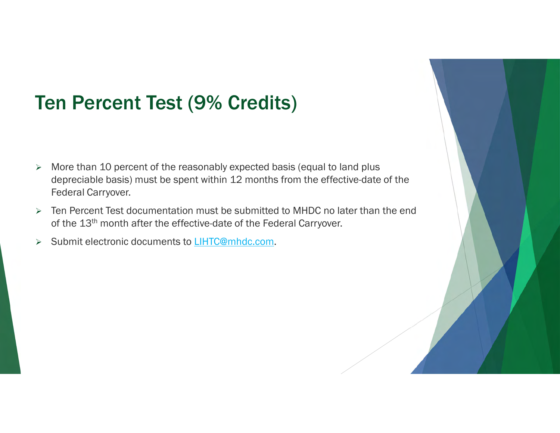## Ten Percent Test (9% Credits)

- $\triangleright$  More than 10 percent of the reasonably expected basis (equal to land plus depreciable basis) must be spent within 12 months from the effective-date of the Federal Carryover.
- $\triangleright$  Ten Percent Test documentation must be submitted to MHDC no later than the end of the 13<sup>th</sup> month after the effective-date of the Federal Carryover.
- > Submit electronic documents to LIHTC@mhdc.com.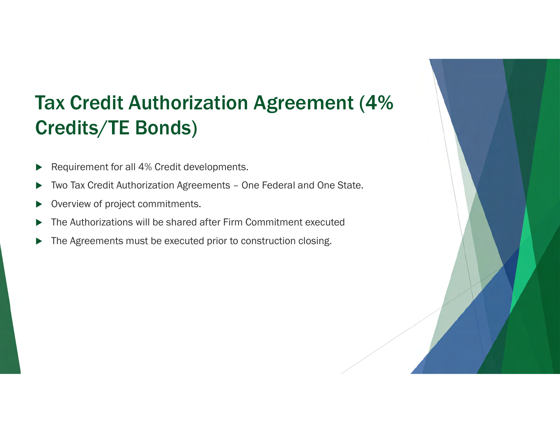## Tax Credit Authorization Agreement (4% Credits/TE Bonds)

- Requirement for all 4% Credit developments.
- Two Tax Credit Authorization Agreements One Federal and One State.
- Overview of project commitments.
- The Authorizations will be shared after Firm Commitment executed
- The Agreements must be executed prior to construction closing.

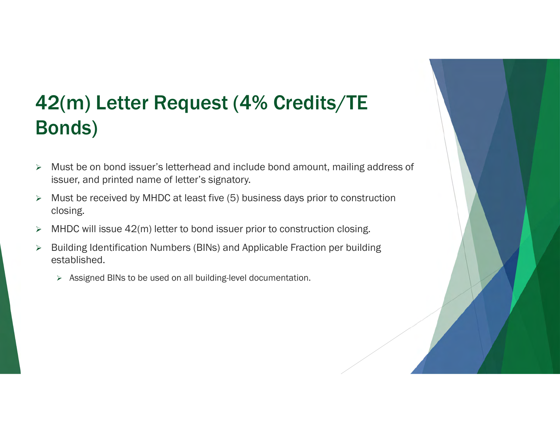## 42(m) Letter Request (4% Credits/TE Bonds)

- Must be on bond issuer's letterhead and include bond amount, mailing address of issuer, and printed name of letter's signatory.
- $\triangleright$  Must be received by MHDC at least five (5) business days prior to construction closing.
- $\triangleright$  MHDC will issue 42(m) letter to bond issuer prior to construction closing.
- **►** Building Identification Numbers (BINs) and Applicable Fraction per building established.
	- > Assigned BINs to be used on all building-level documentation.

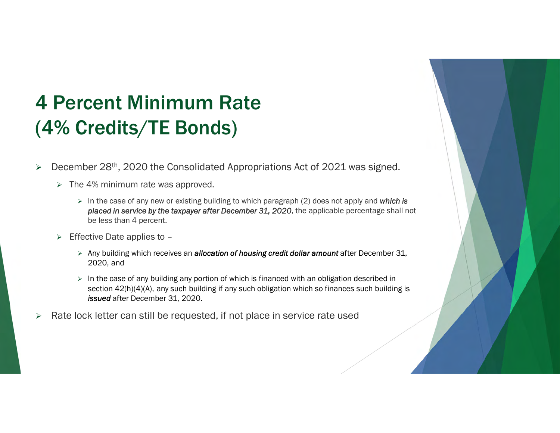## 4 Percent Minimum Rate (4% Credits/TE Bonds)

- $\triangleright$  December 28<sup>th</sup>, 2020 the Consolidated Appropriations Act of 2021 was signed.
	- $\triangleright$  The 4% minimum rate was approved.
		- In the case of any new or existing building to which paragraph (2) does not apply and *which is placed in service by the taxpayer after December 31, 2020*, the applicable percentage shall not be less than 4 percent.
	- $\triangleright$  Effective Date applies to -
		- Any building which receives an *allocation of housing credit dollar amount* after December 31, 2020, and
		- $\triangleright$  In the case of any building any portion of which is financed with an obligation described in section  $42(h)(4)(A)$ , any such building if any such obligation which so finances such building is *issued* after December 31, 2020.
- $\triangleright$  Rate lock letter can still be requested, if not place in service rate used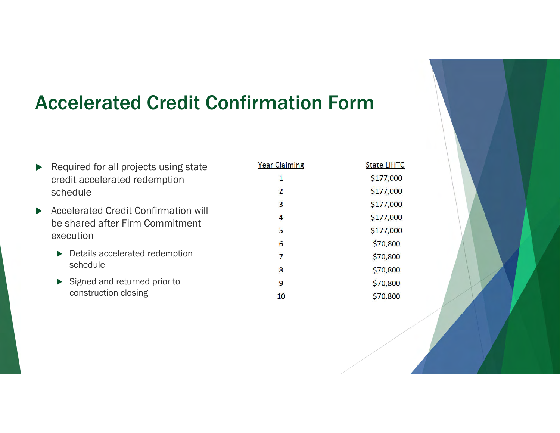### Accelerated Credit Confirmation Form

|                       | Required for all projects using state<br>credit accelerated redemption                                                                                     | <b>Year Claiming</b> | S |
|-----------------------|------------------------------------------------------------------------------------------------------------------------------------------------------------|----------------------|---|
|                       | schedule                                                                                                                                                   | $\overline{2}$       |   |
| $\blacktriangleright$ | <b>Accelerated Credit Confirmation will</b><br>be shared after Firm Commitment<br>execution<br>$\triangleright$ Details accelerated redemption<br>schedule | 3                    |   |
|                       |                                                                                                                                                            | 4                    |   |
|                       |                                                                                                                                                            | 5                    |   |
|                       |                                                                                                                                                            | 6                    |   |
|                       |                                                                                                                                                            | 7                    |   |
|                       |                                                                                                                                                            | 8                    |   |
|                       | $\triangleright$ Signed and returned prior to<br>construction closing                                                                                      | 9                    |   |
|                       |                                                                                                                                                            | 10                   |   |

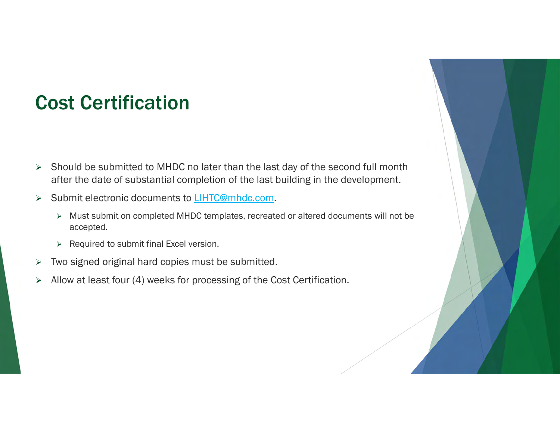### Cost Certification

- $\triangleright$  Should be submitted to MHDC no later than the last day of the second full month after the date of substantial completion of the last building in the development.
- > Submit electronic documents to LIHTC@mhdc.com.
	- Must submit on completed MHDC templates, recreated or altered documents will not be accepted.
	- $\triangleright$  Required to submit final Excel version.
- $\triangleright$  Two signed original hard copies must be submitted.
- $\triangleright$  Allow at least four (4) weeks for processing of the Cost Certification.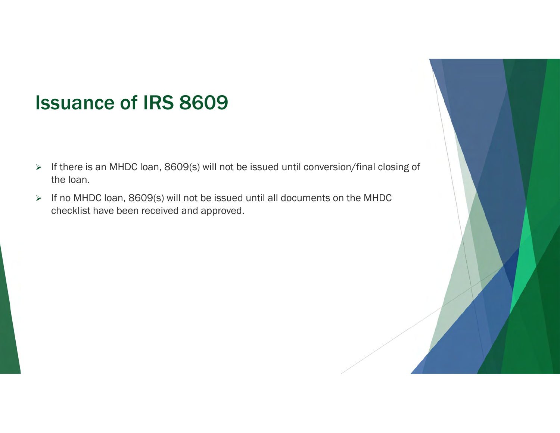### Issuance of IRS 8609

- > If there is an MHDC loan, 8609(s) will not be issued until conversion/final closing of the loan.
- > If no MHDC loan, 8609(s) will not be issued until all documents on the MHDC checklist have been received and approved.

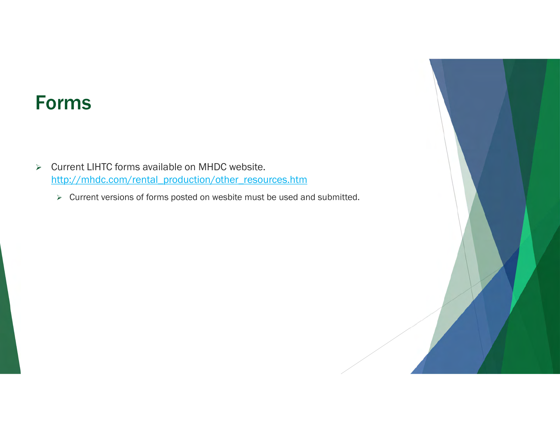### Forms

- $\triangleright$  Current LIHTC forms available on MHDC website. http://mhdc.com/rental\_production/other\_resources.htm
	- $\triangleright$  Current versions of forms posted on wesbite must be used and submitted.

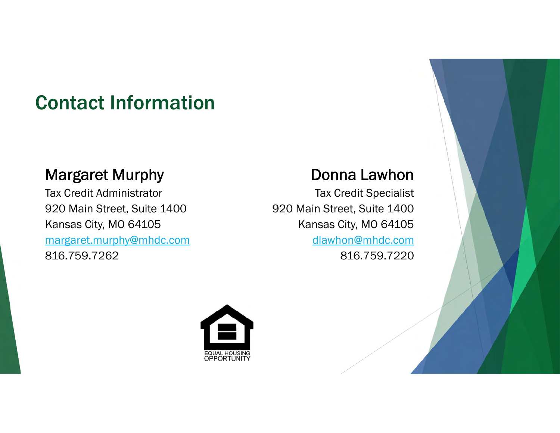## Contact Information

#### Margaret Murphy

Tax Credit Administrator 920 Main Street, Suite 1400 Kansas City, MO 64105 margaret.murphy@mhdc.com 816.759.7262

#### Donna Lawhon

Tax Credit Specialist 920 Main Street, Suite 1400 Kansas City, MO 64105 dlawhon@mhdc.com 816.759.7220